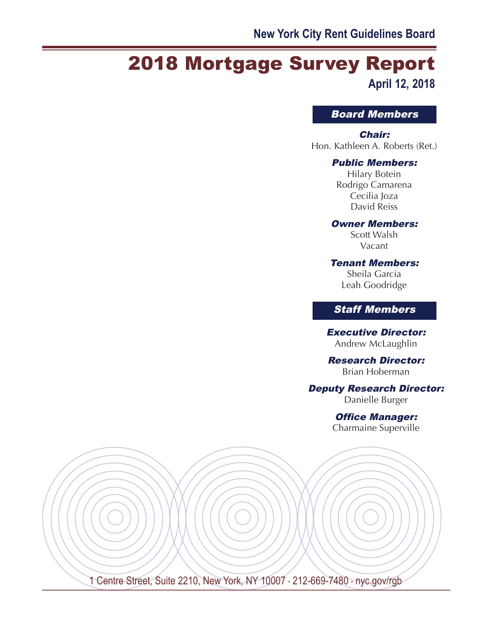# 2018 Mortgage Survey Report **April 12, 2018**

## Board Members

#### Chair:

Hon. Kathleen A. Roberts (Ret.)

#### Public Members:

Hilary Botein Rodrigo Camarena Cecilia Joza David Reiss

#### Owner Members:

Scott Walsh Vacant

## Tenant Members:

Sheila Garcia Leah Goodridge

## Staff Members

Executive Director: Andrew McLaughlin

#### Research Director: Brian Hoberman

#### Deputy Research Director:

Danielle Burger

# Office Manager:

Charmaine Superville

1 Centre Street, Suite 2210, New York, NY 10007 · 212-669-7480 · nyc.gov/rgb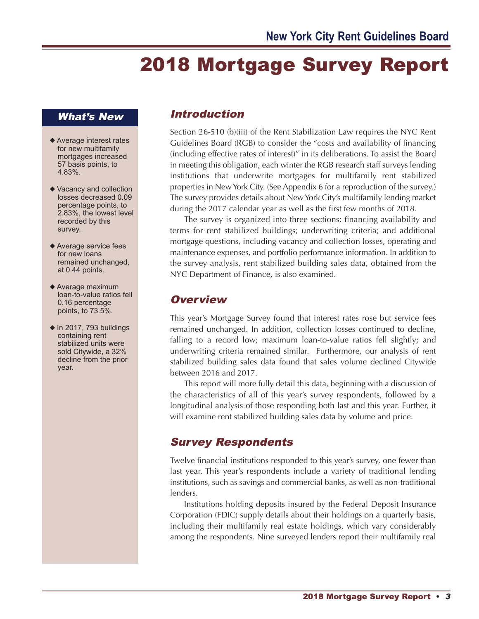# 2018 Mortgage Survey Report

## What's New

- ◆ Average interest rates for new multifamily mortgages increased 57 basis points, to 4.83%.
- ◆ Vacancy and collection losses decreased 0.09 percentage points, to 2.83%, the lowest level recorded by this survey.
- ◆ Average service fees for new loans remained unchanged, at 0.44 points.
- ◆ Average maximum loan-to-value ratios fell 0.16 percentage points, to 73.5%.
- $\triangle$  In 2017, 793 buildings containing rent stabilized units were sold Citywide, a 32% decline from the prior year.

## Introduction

Section 26-510 (b)(iii) of the Rent Stabilization Law requires the NYC Rent Guidelines Board (RGB) to consider the "costs and availability of financing (including effective rates of interest)" in its deliberations. To assist the Board in meeting this obligation, each winter the RGB research staff surveys lending institutions that underwrite mortgages for multifamily rent stabilized properties in NewYork City. (See Appendix 6 for a reproduction of the survey.) The survey provides details about NewYork City's multifamily lending market during the 2017 calendar year as well as the first few months of 2018.

The survey is organized into three sections: financing availability and terms for rent stabilized buildings; underwriting criteria; and additional mortgage questions, including vacancy and collection losses, operating and maintenance expenses, and portfolio performance information. In addition to the survey analysis, rent stabilized building sales data, obtained from the NYC Department of Finance, is also examined.

## **Overview**

This year's Mortgage Survey found that interest rates rose but service fees remained unchanged. In addition, collection losses continued to decline, falling to a record low; maximum loan-to-value ratios fell slightly; and underwriting criteria remained similar. Furthermore, our analysis of rent stabilized building sales data found that sales volume declined Citywide between 2016 and 2017.

This report will more fully detail this data, beginning with a discussion of the characteristics of all of this year's survey respondents, followed by a longitudinal analysis of those responding both last and this year. Further, it will examine rent stabilized building sales data by volume and price.

## Survey Respondents

Twelve financial institutions responded to this year's survey, one fewer than last year. This year's respondents include a variety of traditional lending institutions, such as savings and commercial banks, as well as non-traditional lenders.

Institutions holding deposits insured by the Federal Deposit Insurance Corporation (FDIC) supply details about their holdings on a quarterly basis, including their multifamily real estate holdings, which vary considerably among the respondents. Nine surveyed lenders report their multifamily real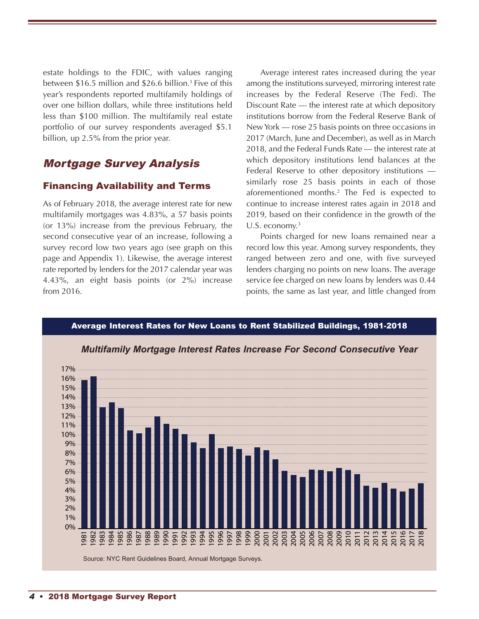estate holdings to the FDIC, with values ranging between \$16.5 million and \$26.6 billion. <sup>1</sup> Five of this year's respondents reported multifamily holdings of over one billion dollars, while three institutions held less than \$100 million. The multifamily real estate portfolio of our survey respondents averaged \$5.1 billion, up 2.5% from the prior year.

## Mortgage Survey Analysis

#### Financing Availability and Terms

As of February 2018, the average interest rate for new multifamily mortgages was 4.83%, a 57 basis points (or 13%) increase from the previous February, the second consecutive year of an increase, following a survey record low two years ago (see graph on this page and Appendix 1). Likewise, the average interest rate reported by lenders for the 2017 calendar year was 4.43%, an eight basis points (or 2%) increase from 2016.

Average interest rates increased during the year among the institutions surveyed, mirroring interest rate increases by the Federal Reserve (The Fed). The Discount Rate — the interest rate at which depository institutions borrow from the Federal Reserve Bank of NewYork — rose 25 basis points on three occasions in 2017 (March, June and December), as well as in March 2018, and the Federal Funds Rate — the interest rate at which depository institutions lend balances at the Federal Reserve to other depository institutions similarly rose 25 basis points in each of those aforementioned months. <sup>2</sup> The Fed is expected to continue to increase interest rates again in 2018 and 2019, based on their confidence in the growth of the U.S. economy.<sup>3</sup>

Points charged for new loans remained near a record low this year. Among survey respondents, they ranged between zero and one, with five surveyed lenders charging no points on new loans. The average service fee charged on new loans by lenders was 0.44 points, the same as last year, and little changed from



## 4 • 2018 Mortgage Survey Report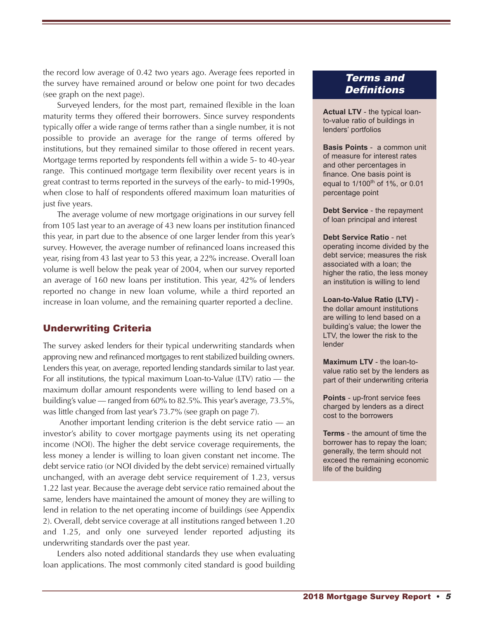the record low average of 0.42 two years ago. Average fees reported in the survey have remained around or below one point for two decades (see graph on the next page).

Surveyed lenders, for the most part, remained flexible in the loan maturity terms they offered their borrowers. Since survey respondents typically offer a wide range of terms rather than a single number, it is not possible to provide an average for the range of terms offered by institutions, but they remained similar to those offered in recent years. Mortgage terms reported by respondents fell within a wide 5- to 40-year range. This continued mortgage term flexibility over recent years is in great contrast to terms reported in the surveys of the early- to mid-1990s, when close to half of respondents offered maximum loan maturities of just five years.

The average volume of new mortgage originations in our survey fell from 105 last year to an average of 43 new loans per institution financed this year, in part due to the absence of one larger lender from this year's survey. However, the average number of refinanced loans increased this year, rising from 43 last year to 53 this year, a 22% increase. Overall loan volume is well below the peak year of 2004, when our survey reported an average of 160 new loans per institution. This year, 42% of lenders reported no change in new loan volume, while a third reported an increase in loan volume, and the remaining quarter reported a decline.

#### Underwriting Criteria

The survey asked lenders for their typical underwriting standards when approving new and refinanced mortgages to rent stabilized building owners. Lenders this year, on average, reported lending standards similar to last year. For all institutions, the typical maximum Loan-to-Value (LTV) ratio — the maximum dollar amount respondents were willing to lend based on a building's value — ranged from 60% to 82.5%. This year's average, 73.5%, was little changed from last year's 73.7% (see graph on page 7).

Another important lending criterion is the debt service ratio — an investor's ability to cover mortgage payments using its net operating income (NOI). The higher the debt service coverage requirements, the less money a lender is willing to loan given constant net income. The debt service ratio (or NOI divided by the debt service) remained virtually unchanged, with an average debt service requirement of 1.23, versus 1.22 last year. Because the average debt service ratio remained about the same, lenders have maintained the amount of money they are willing to lend in relation to the net operating income of buildings (see Appendix 2). Overall, debt service coverage at all institutions ranged between 1.20 and 1.25, and only one surveyed lender reported adjusting its underwriting standards over the past year.

Lenders also noted additional standards they use when evaluating loan applications. The most commonly cited standard is good building

## Terms and **Definitions**

**Actual LTV** - the typical loanto-value ratio of buildings in lenders' portfolios

**Basis Points** - a common unit of measure for interest rates and other percentages in finance. One basis point is equal to  $1/100^{th}$  of 1%, or 0.01 percentage point

**Debt Service** - the repayment of loan principal and interest

#### **Debt Service Ratio** - net operating income divided by the debt service; measures the risk associated with a loan; the higher the ratio, the less money an institution is willing to lend

**Loan-to-Value Ratio (LTV)** the dollar amount institutions are willing to lend based on a building's value; the lower the LTV, the lower the risk to the lender

**Maximum LTV** - the loan-tovalue ratio set by the lenders as part of their underwriting criteria

**Points** - up-front service fees charged by lenders as a direct cost to the borrowers

**Terms** - the amount of time the borrower has to repay the loan; generally, the term should not exceed the remaining economic life of the building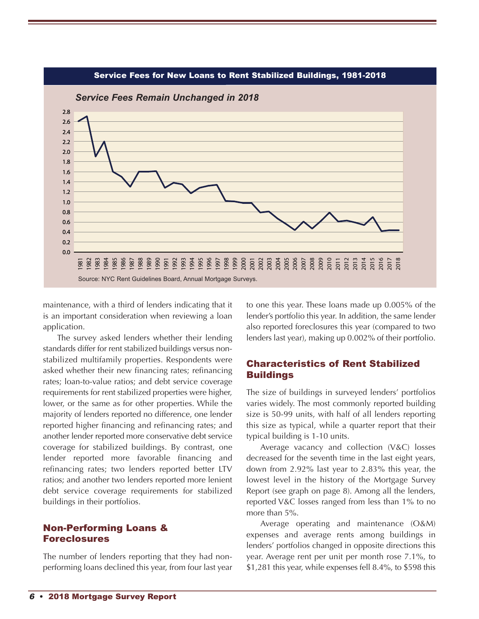

maintenance, with a third of lenders indicating that it is an important consideration when reviewing a loan application.

The survey asked lenders whether their lending standards differ for rent stabilized buildings versus nonstabilized multifamily properties. Respondents were asked whether their new financing rates; refinancing rates; loan-to-value ratios; and debt service coverage requirements for rent stabilized properties were higher, lower, or the same as for other properties. While the majority of lenders reported no difference, one lender reported higher financing and refinancing rates; and another lender reported more conservative debt service coverage for stabilized buildings. By contrast, one lender reported more favorable financing and refinancing rates; two lenders reported better LTV ratios; and another two lenders reported more lenient debt service coverage requirements for stabilized buildings in their portfolios.

#### Non-Performing Loans & Foreclosures

The number of lenders reporting that they had nonperforming loans declined this year, from four last year to one this year. These loans made up 0.005% of the lender's portfolio this year. In addition, the same lender also reported foreclosures this year (compared to two lenders last year), making up 0.002% of their portfolio.

#### Characteristics of Rent Stabilized **Buildings**

The size of buildings in surveyed lenders' portfolios varies widely. The most commonly reported building size is 50-99 units, with half of all lenders reporting this size as typical, while a quarter report that their typical building is 1-10 units.

Average vacancy and collection (V&C) losses decreased for the seventh time in the last eight years, down from 2.92% last year to 2.83% this year, the lowest level in the history of the Mortgage Survey Report (see graph on page 8). Among all the lenders, reported V&C losses ranged from less than 1% to no more than 5%.

Average operating and maintenance (O&M) expenses and average rents among buildings in lenders' portfolios changed in opposite directions this year. Average rent per unit per month rose 7.1%, to \$1,281 this year, while expenses fell 8.4%, to \$598 this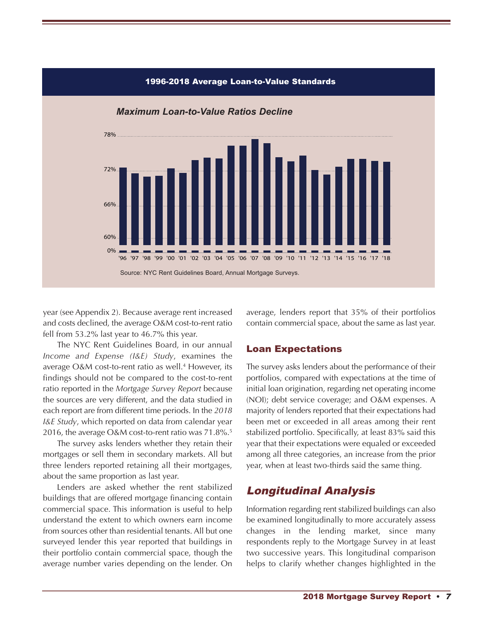

year (see Appendix 2). Because average rent increased and costs declined, the average O&M cost-to-rent ratio fell from 53.2% last year to 46.7% this year.

The NYC Rent Guidelines Board, in our annual *Income and Expense (I&E) Study*, examines the average O&M cost-to-rent ratio as well. <sup>4</sup> However, its findings should not be compared to the cost-to-rent ratio reported in the *Mortgage Survey Report* because the sources are very different, and the data studied in each report are from different time periods. In the *2018 I&E Study*, which reported on data from calendar year 2016, the average O&M cost-to-rent ratio was 71.8%. 5

The survey asks lenders whether they retain their mortgages or sell them in secondary markets. All but three lenders reported retaining all their mortgages, about the same proportion as last year.

Lenders are asked whether the rent stabilized buildings that are offered mortgage financing contain commercial space. This information is useful to help understand the extent to which owners earn income from sources other than residential tenants. All but one surveyed lender this year reported that buildings in their portfolio contain commercial space, though the average number varies depending on the lender. On average, lenders report that 35% of their portfolios contain commercial space, about the same as last year.

#### Loan Expectations

The survey asks lenders about the performance of their portfolios, compared with expectations at the time of initial loan origination, regarding net operating income (NOI); debt service coverage; and O&M expenses. A majority of lenders reported that their expectations had been met or exceeded in all areas among their rent stabilized portfolio. Specifically, at least 83% said this year that their expectations were equaled or exceeded among all three categories, an increase from the prior year, when at least two-thirds said the same thing.

## Longitudinal Analysis

Information regarding rent stabilized buildings can also be examined longitudinally to more accurately assess changes in the lending market, since many respondents reply to the Mortgage Survey in at least two successive years. This longitudinal comparison helps to clarify whether changes highlighted in the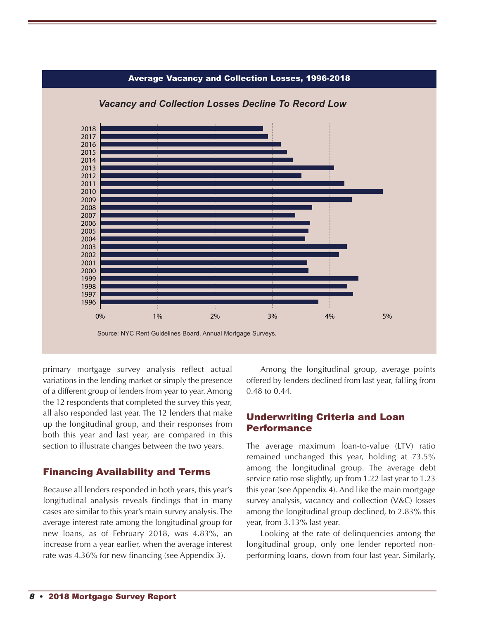

primary mortgage survey analysis reflect actual variations in the lending market or simply the presence of a different group of lenders from year to year. Among the 12 respondents that completed the survey this year, all also responded last year. The 12 lenders that make up the longitudinal group, and their responses from both this year and last year, are compared in this section to illustrate changes between the two years.

#### Financing Availability and Terms

Because all lenders responded in both years, this year's longitudinal analysis reveals findings that in many cases are similar to this year's main survey analysis. The average interest rate among the longitudinal group for new loans, as of February 2018, was 4.83%, an increase from a year earlier, when the average interest rate was 4.36% for new financing (see Appendix 3).

Among the longitudinal group, average points offered by lenders declined from last year, falling from 0.48 to 0.44.

#### Underwriting Criteria and Loan Performance

The average maximum loan-to-value (LTV) ratio remained unchanged this year, holding at 73.5% among the longitudinal group. The average debt service ratio rose slightly, up from 1.22 last year to 1.23 this year (see Appendix 4). And like the main mortgage survey analysis, vacancy and collection (V&C) losses among the longitudinal group declined, to 2.83% this year, from 3.13% last year.

Looking at the rate of delinquencies among the longitudinal group, only one lender reported nonperforming loans, down from four last year. Similarly,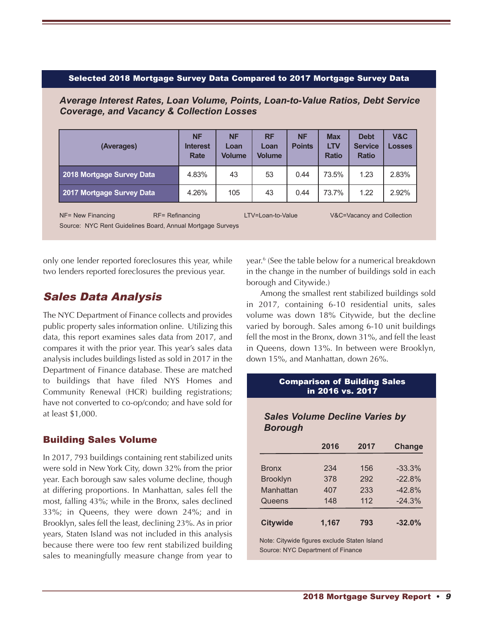#### Selected 2018 Mortgage Survey Data Compared to 2017 Mortgage Survey Data

*Average Interest Rates, Loan Volume, Points, Loan-to-Value Ratios, Debt Service Coverage, and Vacancy & Collection Losses*

| (Averages)                              | <b>NF</b><br><b>Interest</b><br>Rate | <b>NF</b><br>Loan<br>Volume | <b>RF</b><br>Loan<br><b>Volume</b> | <b>NF</b><br><b>Points</b> | <b>Max</b><br><b>LTV</b><br><b>Ratio</b> | <b>Debt</b><br><b>Service</b><br><b>Ratio</b> | V&C<br><b>Losses</b> |
|-----------------------------------------|--------------------------------------|-----------------------------|------------------------------------|----------------------------|------------------------------------------|-----------------------------------------------|----------------------|
| 2018 Mortgage Survey Data               | 4.83%                                | 43                          | 53                                 | 0.44                       | 73.5%                                    | 1.23                                          | 2.83%                |
| 2017 Mortgage Survey Data               | 4.26%                                | 105                         | 43                                 | 0.44                       | 73.7%                                    | 1.22                                          | 2.92%                |
| $RF = Refinancing$<br>NF= New Financing |                                      |                             | LTV=Loan-to-Value                  |                            |                                          | V&C=Vacancy and Collection                    |                      |

Source: NYC Rent Guidelines Board, Annual Mortgage Surveys

only one lender reported foreclosures this year, while two lenders reported foreclosures the previous year.

## Sales Data Analysis

The NYC Department of Finance collects and provides public property sales information online. Utilizing this data, this report examines sales data from 2017, and compares it with the prior year. This year's sales data analysis includes buildings listed as sold in 2017 in the Department of Finance database. These are matched to buildings that have filed NYS Homes and Community Renewal (HCR) building registrations; have not converted to co-op/condo; and have sold for at least \$1,000.

#### Building Sales Volume

In 2017, 793 buildings containing rent stabilized units were sold in New York City, down 32% from the prior year. Each borough saw sales volume decline, though at differing proportions. In Manhattan, sales fell the most, falling 43%; while in the Bronx, sales declined 33%; in Queens, they were down 24%; and in Brooklyn, sales fell the least, declining 23%. As in prior years, Staten Island was not included in this analysis because there were too few rent stabilized building sales to meaningfully measure change from year to

year. <sup>6</sup> (See the table below for a numerical breakdown in the change in the number of buildings sold in each borough and Citywide.)

Among the smallest rent stabilized buildings sold in 2017, containing 6-10 residential units, sales volume was down 18% Citywide, but the decline varied by borough. Sales among 6-10 unit buildings fell the most in the Bronx, down 31%, and fell the least in Queens, down 13%. In between were Brooklyn, down 15%, and Manhattan, down 26%.

#### Comparison of Building Sales in 2016 vs. 2017

#### *Sales Volume Decline Varies by Borough*

|                 | 2016                                         | 2017 | <b>Change</b> |  |  |  |  |  |  |  |
|-----------------|----------------------------------------------|------|---------------|--|--|--|--|--|--|--|
|                 |                                              |      |               |  |  |  |  |  |  |  |
| <b>Bronx</b>    | 234                                          | 156  | $-33.3%$      |  |  |  |  |  |  |  |
| <b>Brooklyn</b> | 378                                          | 292  | $-22.8%$      |  |  |  |  |  |  |  |
| Manhattan       | 407                                          | 233  | $-42.8%$      |  |  |  |  |  |  |  |
| Queens          | 148                                          | 112  | $-24.3%$      |  |  |  |  |  |  |  |
| <b>Citywide</b> | 1,167                                        | 793  | $-32.0%$      |  |  |  |  |  |  |  |
|                 | Note: Citywide figures exclude Staten Island |      |               |  |  |  |  |  |  |  |

Source: NYC Department of Finance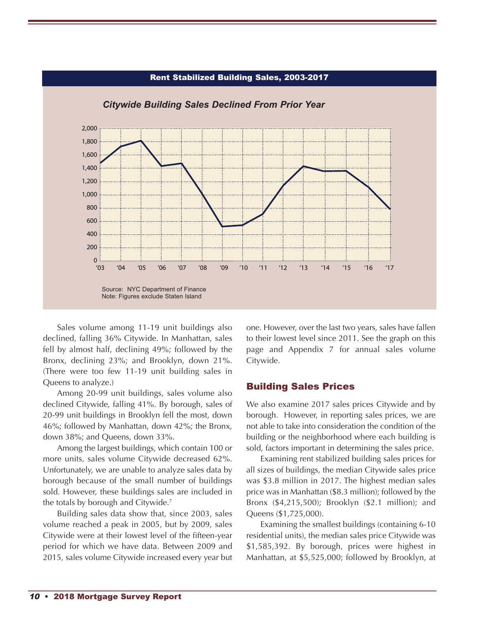

#### Rent Stabilized Building Sales, 2003-2017

Sales volume among 11-19 unit buildings also declined, falling 36% Citywide. In Manhattan, sales fell by almost half, declining 49%; followed by the Bronx, declining 23%; and Brooklyn, down 21%. (There were too few 11-19 unit building sales in Queens to analyze.)

Among 20-99 unit buildings, sales volume also declined Citywide, falling 41%. By borough, sales of 20-99 unit buildings in Brooklyn fell the most, down 46%; followed by Manhattan, down 42%; the Bronx, down 38%; and Queens, down 33%.

Among the largest buildings, which contain 100 or more units, sales volume Citywide decreased 62%. Unfortunately, we are unable to analyze sales data by borough because of the small number of buildings sold. However, these buildings sales are included in the totals by borough and Citywide. 7

Building sales data show that, since 2003, sales volume reached a peak in 2005, but by 2009, sales Citywide were at their lowest level of the fifteen-year period for which we have data. Between 2009 and 2015, sales volume Citywide increased every year but one. However, over the last two years, sales have fallen to their lowest level since 2011. See the graph on this page and Appendix 7 for annual sales volume Citywide.

#### Building Sales Prices

We also examine 2017 sales prices Citywide and by borough. However, in reporting sales prices, we are not able to take into consideration the condition of the building or the neighborhood where each building is sold, factors important in determining the sales price.

Examining rent stabilized building sales prices for all sizes of buildings, the median Citywide sales price was \$3.8 million in 2017. The highest median sales price was in Manhattan (\$8.3 million); followed by the Bronx (\$4,215,500); Brooklyn (\$2.1 million); and Queens (\$1,725,000).

Examining the smallest buildings (containing 6-10 residential units), the median sales price Citywide was \$1,585,392. By borough, prices were highest in Manhattan, at \$5,525,000; followed by Brooklyn, at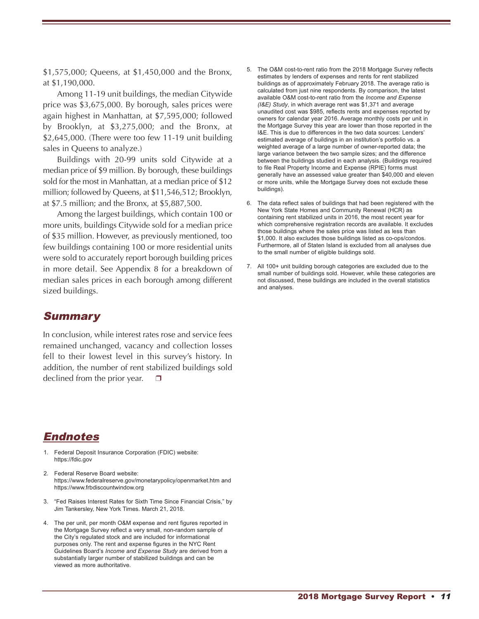\$1,575,000; Queens, at \$1,450,000 and the Bronx, at \$1,190,000.

Among 11-19 unit buildings, the median Citywide price was \$3,675,000. By borough, sales prices were again highest in Manhattan, at \$7,595,000; followed by Brooklyn, at \$3,275,000; and the Bronx, at \$2,645,000. (There were too few 11-19 unit building sales in Queens to analyze.)

Buildings with 20-99 units sold Citywide at a median price of \$9 million. By borough, these buildings sold for the most in Manhattan, at a median price of \$12 million; followed by Queens, at \$11,546,512; Brooklyn, at \$7.5 million; and the Bronx, at \$5,887,500.

Among the largest buildings, which contain 100 or more units, buildings Citywide sold for a median price of \$35 million. However, as previously mentioned, too few buildings containing 100 or more residential units were sold to accurately report borough building prices in more detail. See Appendix 8 for a breakdown of median sales prices in each borough among different sized buildings.

#### **Summary**

In conclusion, while interest rates rose and service fees remained unchanged, vacancy and collection losses fell to their lowest level in this survey's history. In addition, the number of rent stabilized buildings sold declined from the prior year.

## Endnotes

- 1. Federal Deposit Insurance Corporation (FDIC) website: https://fdic.gov
- 2. Federal Reserve Board website: https://www.federalreserve.gov/monetarypolicy/openmarket.htm and https://www.frbdiscountwindow.org
- 3. "Fed Raises Interest Rates for Sixth Time Since Financial Crisis," by Jim Tankersley, New York Times. March 21, 2018.
- 4. The per unit, per month O&M expense and rent figures reported in the Mortgage Survey reflect a very small, non-random sample of the City's regulated stock and are included for informational purposes only. The rent and expense figures in the NYC Rent Guidelines Board's *Income and Expense Study* are derived from a substantially larger number of stabilized buildings and can be viewed as more authoritative.
- 5. The O&M cost-to-rent ratio from the 2018 Mortgage Survey reflects estimates by lenders of expenses and rents for rent stabilized buildings as of approximately February 2018. The average ratio is calculated from just nine respondents. By comparison, the latest available O&M cost-to-rent ratio from the *Income and Expense (I&E) Study*, in which average rent was \$1,371 and average unaudited cost was \$985, reflects rents and expenses reported by owners for calendar year 2016. Average monthly costs per unit in the Mortgage Survey this year are lower than those reported in the I&E. This is due to differences in the two data sources: Lenders' estimated average of buildings in an institution's portfolio vs. a weighted average of a large number of owner-reported data; the large variance between the two sample sizes; and the difference between the buildings studied in each analysis. (Buildings required to file Real Property Income and Expense (RPIE) forms must generally have an assessed value greater than \$40,000 and eleven or more units, while the Mortgage Survey does not exclude these buildings).
- 6. The data reflect sales of buildings that had been registered with the New York State Homes and Community Renewal (HCR) as containing rent stabilized units in 2016, the most recent year for which comprehensive registration records are available. It excludes those buildings where the sales price was listed as less than \$1,000. It also excludes those buildings listed as co-ops/condos. Furthermore, all of Staten Island is excluded from all analyses due to the small number of eligible buildings sold.
- 7. All 100+ unit building borough categories are excluded due to the small number of buildings sold. However, while these categories are not discussed, these buildings are included in the overall statistics and analyses.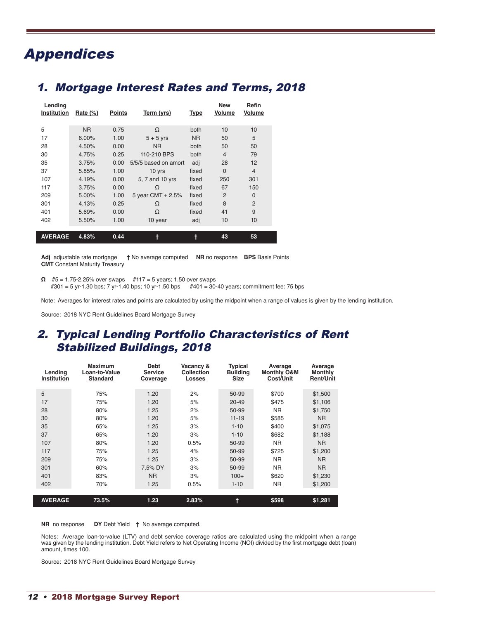# Appendices

## 1. Mortgage Interest Rates and Terms, 2018

| Lending<br>Institution | Rate $(\%)$    | <b>Points</b> | Term (yrs)           | <b>Type</b>    | <b>New</b><br>Volume | Refin<br><b>Volume</b> |
|------------------------|----------------|---------------|----------------------|----------------|----------------------|------------------------|
| 5                      | N <sub>R</sub> | 0.75          | Ω                    | both           | 10                   | 10                     |
| 17                     | $6.00\%$       | 1.00          | $5 + 5$ yrs          | N <sub>R</sub> | 50                   | 5                      |
| 28                     | 4.50%          | 0.00          | <b>NR</b>            | both           | 50                   | 50                     |
| 30                     | 4.75%          | 0.25          | 110-210 BPS          | both           | $\overline{4}$       | 79                     |
| 35                     | 3.75%          | 0.00          | 5/5/5 based on amort | adj            | 28                   | 12                     |
| 37                     | 5.85%          | 1.00          | 10 yrs               | fixed          | $\Omega$             | $\overline{4}$         |
| 107                    | 4.19%          | 0.00          | 5, 7 and 10 yrs      | fixed          | 250                  | 301                    |
| 117                    | 3.75%          | 0.00          | Ω                    | fixed          | 67                   | 150                    |
| 209                    | 5.00%          | 1.00          | 5 year CMT $+ 2.5%$  | fixed          | $\mathcal{P}$        | $\Omega$               |
| 301                    | 4.13%          | 0.25          | $\Omega$             | fixed          | 8                    | $\overline{2}$         |
| 401                    | 5.69%          | 0.00          | Ω                    | fixed          | 41                   | 9                      |
| 402                    | 5.50%          | 1.00          | 10 year              | adj            | 10                   | 10                     |
| <b>AVERAGE</b>         | 4.83%          | 0.44          | t                    | t              | 43                   | 53                     |

**Adj** adjustable rate mortgage **†** No average computed **NR** no response **BPS** Basis Points **CMT** Constant Maturity Treasury

**Ω** #5 = 1.75-2.25% over swaps #117 = 5 years; 1.50 over swaps #301 = 5 yr-1.30 bps; 7 yr-1.40 bps; 10 yr-1.50 bps #401 = 30-40 years; commitment fee: 75 bps

Note: Averages for interest rates and points are calculated by using the midpoint when a range of values is given by the lending institution.

Source: 2018 NYC Rent Guidelines Board Mortgage Survey

## 2. Typical Lending Portfolio Characteristics of Rent Stabilized Buildings, 2018

| Lending<br><b>Institution</b> | <b>Maximum</b><br>Loan-to-Value<br><b>Standard</b> | <b>Debt</b><br><b>Service</b><br>Coverage | Vacancy &<br>Collection<br><b>Losses</b> | <b>Typical</b><br><b>Building</b><br><b>Size</b> | Average<br><b>Monthly O&amp;M</b><br>Cost/Unit | Average<br>Monthly<br><b>Rent/Unit</b> |
|-------------------------------|----------------------------------------------------|-------------------------------------------|------------------------------------------|--------------------------------------------------|------------------------------------------------|----------------------------------------|
| 5                             | 75%                                                | 1.20                                      | 2%                                       | 50-99                                            | \$700                                          | \$1,500                                |
| 17                            | 75%                                                | 1.20                                      | 5%                                       | $20 - 49$                                        | \$475                                          | \$1,106                                |
| 28                            | 80%                                                | 1.25                                      | 2%                                       | 50-99                                            | <b>NR</b>                                      | \$1.750                                |
| 30                            | 80%                                                | 1.20                                      | 5%                                       | $11 - 19$                                        | \$585                                          | NR.                                    |
| 35                            | 65%                                                | 1.25                                      | 3%                                       | $1 - 10$                                         | \$400                                          | \$1,075                                |
| 37                            | 65%                                                | 1.20                                      | 3%                                       | $1 - 10$                                         | \$682                                          | \$1,188                                |
| 107                           | 80%                                                | 1.20                                      | 0.5%                                     | 50-99                                            | NR.                                            | N <sub>R</sub>                         |
| 117                           | 75%                                                | 1.25                                      | 4%                                       | 50-99                                            | \$725                                          | \$1,200                                |
| 209                           | 75%                                                | 1.25                                      | 3%                                       | 50-99                                            | <b>NR</b>                                      | N <sub>R</sub>                         |
| 301                           | 60%                                                | 7.5% DY                                   | 3%                                       | 50-99                                            | <b>NR</b>                                      | N <sub>R</sub>                         |
| 401                           | 83%                                                | <b>NR</b>                                 | 3%                                       | $100+$                                           | \$620                                          | \$1,230                                |
| 402                           | 70%                                                | 1.25                                      | 0.5%                                     | $1 - 10$                                         | <b>NR</b>                                      | \$1,200                                |
|                               |                                                    |                                           |                                          |                                                  |                                                |                                        |
| <b>AVERAGE</b>                | 73.5%                                              | 1.23                                      | 2.83%                                    | ŧ                                                | \$598                                          | \$1,281                                |

**NR** no response **DY** Debt Yield **†** No average computed.

Notes: Average loan-to-value (LTV) and debt service coverage ratios are calculated using the midpoint when a range was given by the lending institution. Debt Yield refers to Net Operating Income (NOI) divided by the first mortgage debt (loan) amount, times 100.

Source: 2018 NYC Rent Guidelines Board Mortgage Survey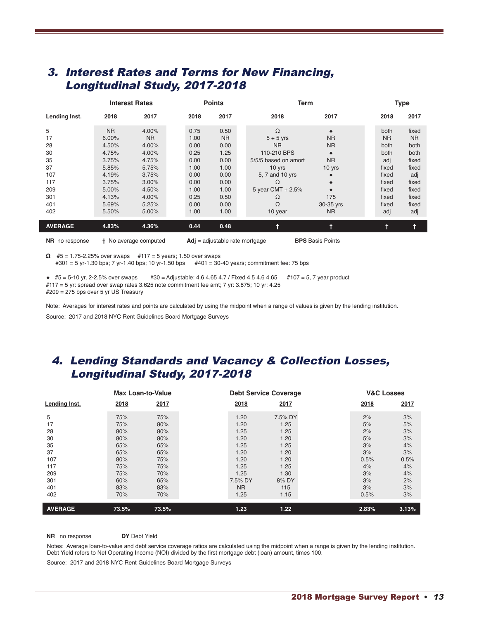## 3. Interest Rates and Terms for New Financing, Longitudinal Study, 2017-2018

|                                                                           |                                                                                                              | <b>Interest Rates</b>                                                                                           |                                                                                              | <b>Points</b>                                                                                     | <b>Term</b>                                                                                                                                        |                                                                                     | <b>Type</b> |                                                                                                       |                                                                                                             |
|---------------------------------------------------------------------------|--------------------------------------------------------------------------------------------------------------|-----------------------------------------------------------------------------------------------------------------|----------------------------------------------------------------------------------------------|---------------------------------------------------------------------------------------------------|----------------------------------------------------------------------------------------------------------------------------------------------------|-------------------------------------------------------------------------------------|-------------|-------------------------------------------------------------------------------------------------------|-------------------------------------------------------------------------------------------------------------|
| Lending Inst.                                                             | 2018                                                                                                         | 2017                                                                                                            | 2018                                                                                         | 2017                                                                                              | 2018                                                                                                                                               | 2017                                                                                |             | 2018                                                                                                  | 2017                                                                                                        |
| 5<br>17<br>28<br>30<br>35<br>37<br>107<br>117<br>209<br>301<br>401<br>402 | <b>NR</b><br>6.00%<br>4.50%<br>4.75%<br>3.75%<br>5.85%<br>4.19%<br>3.75%<br>5.00%<br>4.13%<br>5.69%<br>5.50% | 4.00%<br><b>NR</b><br>4.00%<br>4.00%<br>4.75%<br>5.75%<br>3.75%<br>$3.00\%$<br>4.50%<br>4.00%<br>5.25%<br>5.00% | 0.75<br>1.00<br>0.00<br>0.25<br>0.00<br>1.00<br>0.00<br>0.00<br>1.00<br>0.25<br>0.00<br>1.00 | 0.50<br><b>NR</b><br>0.00<br>1.25<br>0.00<br>1.00<br>0.00<br>0.00<br>1.00<br>0.50<br>0.00<br>1.00 | Ω<br>$5 + 5$ yrs<br><b>NR</b><br>110-210 BPS<br>5/5/5 based on amort<br>10 yrs<br>5, 7 and 10 yrs<br>Ω<br>5 year CMT $+ 2.5%$<br>Ω<br>Ω<br>10 year | <b>NR</b><br><b>NR</b><br>۰<br><b>NR</b><br>10 yrs<br>175<br>30-35 yrs<br><b>NR</b> |             | both<br><b>NR</b><br>both<br>both<br>adj<br>fixed<br>fixed<br>fixed<br>fixed<br>fixed<br>fixed<br>adj | fixed<br>N <sub>R</sub><br>both<br>both<br>fixed<br>fixed<br>adj<br>fixed<br>fixed<br>fixed<br>fixed<br>adj |
| <b>AVERAGE</b>                                                            | 4.83%                                                                                                        | 4.36%                                                                                                           | 0.44                                                                                         | 0.48                                                                                              |                                                                                                                                                    |                                                                                     |             |                                                                                                       | $\ddagger$                                                                                                  |

**NR** no response **†** No average computed **Adj** = adjustable rate mortgage **BPS** Basis Points

**Ω** #5 = 1.75-2.25% over swaps #117 = 5 years; 1.50 over swaps #301 = 5 yr-1.30 bps; 7 yr-1.40 bps; 10 yr-1.50 bps #401 = 30-40 years; commitment fee: 75 bps

**◆** #5 = 5-10 yr, 2-2.5% over swaps #30 = Adjustable: 4.6 4.65 4.7 / Fixed 4.5 4.6 4.65 #107 = 5, 7 year product #117 = 5 yr: spread over swap rates 3.625 note commitment fee amt; 7 yr: 3.875; 10 yr: 4.25 #209 = 275 bps over 5 yr US Treasury

Note: Averages for interest rates and points are calculated by using the midpoint when a range of values is given by the lending institution.

Source: 2017 and 2018 NYC Rent Guidelines Board Mortgage Surveys

## 4. Lending Standards and Vacancy & Collection Losses, Longitudinal Study, 2017-2018

|                                                                           |                                                                                  | <b>Max Loan-to-Value</b>                                                         |                                                                                                      | <b>Debt Service Coverage</b>                                                                    |                                                                          | <b>V&amp;C Losses</b>                                                  |
|---------------------------------------------------------------------------|----------------------------------------------------------------------------------|----------------------------------------------------------------------------------|------------------------------------------------------------------------------------------------------|-------------------------------------------------------------------------------------------------|--------------------------------------------------------------------------|------------------------------------------------------------------------|
| <b>Lending Inst.</b>                                                      | 2018                                                                             | 2017                                                                             | 2018                                                                                                 | 2017                                                                                            | 2018                                                                     | 2017                                                                   |
| 5<br>17<br>28<br>30<br>35<br>37<br>107<br>117<br>209<br>301<br>401<br>402 | 75%<br>75%<br>80%<br>80%<br>65%<br>65%<br>80%<br>75%<br>75%<br>60%<br>83%<br>70% | 75%<br>80%<br>80%<br>80%<br>65%<br>65%<br>75%<br>75%<br>70%<br>65%<br>83%<br>70% | 1.20<br>1.20<br>1.25<br>1.20<br>1.25<br>1.20<br>1.20<br>1.25<br>1.25<br>7.5% DY<br><b>NR</b><br>1.25 | 7.5% DY<br>1.25<br>1.25<br>1.20<br>1.25<br>1.20<br>1.20<br>1.25<br>1.30<br>8% DY<br>115<br>1.15 | 2%<br>5%<br>2%<br>5%<br>3%<br>3%<br>0.5%<br>4%<br>3%<br>3%<br>3%<br>0.5% | 3%<br>5%<br>3%<br>3%<br>4%<br>3%<br>0.5%<br>4%<br>4%<br>2%<br>3%<br>3% |
| <b>AVERAGE</b>                                                            | 73.5%                                                                            | 73.5%                                                                            | 1.23                                                                                                 | 1.22                                                                                            | 2.83%                                                                    | 3.13%                                                                  |

**NR** no response **DY** Debt Yield

Notes: Average loan-to-value and debt service coverage ratios are calculated using the midpoint when a range is given by the lending institution. Debt Yield refers to Net Operating Income (NOI) divided by the first mortgage debt (loan) amount, times 100.

Source: 2017 and 2018 NYC Rent Guidelines Board Mortgage Surveys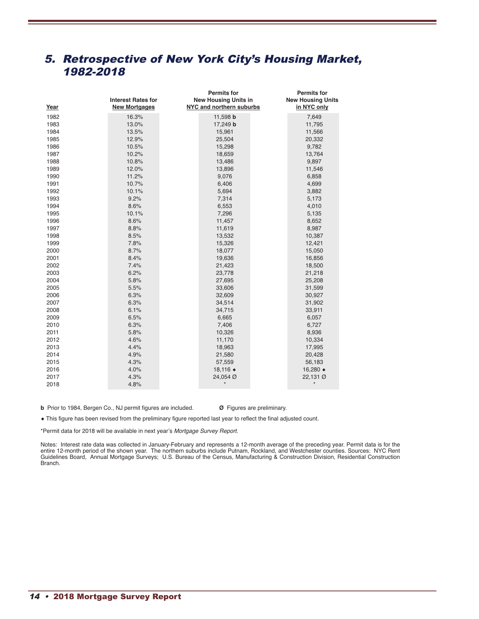## 5. Retrospective of New York City's Housing Market, 1982-2018

|      | <b>Interest Rates for</b> | <b>Permits for</b><br><b>New Housing Units in</b> | <b>Permits for</b><br><b>New Housing Units</b> |
|------|---------------------------|---------------------------------------------------|------------------------------------------------|
| Year | <b>New Mortgages</b>      | NYC and northern suburbs                          | in NYC only                                    |
| 1982 | 16.3%                     | 11,598 b                                          | 7,649                                          |
| 1983 | 13.0%                     | 17,249 b                                          | 11,795                                         |
| 1984 | 13.5%                     | 15,961                                            | 11,566                                         |
| 1985 | 12.9%                     | 25,504                                            | 20,332                                         |
| 1986 | 10.5%                     | 15,298                                            | 9,782                                          |
| 1987 | 10.2%                     | 18,659                                            | 13,764                                         |
| 1988 | 10.8%                     | 13,486                                            | 9,897                                          |
| 1989 | 12.0%                     | 13,896                                            | 11,546                                         |
| 1990 | 11.2%                     | 9,076                                             | 6,858                                          |
| 1991 | 10.7%                     | 6,406                                             | 4,699                                          |
| 1992 | 10.1%                     | 5,694                                             | 3,882                                          |
| 1993 | 9.2%                      | 7,314                                             | 5,173                                          |
| 1994 | 8.6%                      | 6,553                                             | 4,010                                          |
| 1995 | 10.1%                     | 7,296                                             | 5,135                                          |
| 1996 | 8.6%                      | 11,457                                            | 8,652                                          |
| 1997 | 8.8%                      | 11,619                                            | 8,987                                          |
| 1998 | 8.5%                      | 13,532                                            | 10,387                                         |
| 1999 | 7.8%                      | 15,326                                            | 12,421                                         |
| 2000 | 8.7%                      | 18,077                                            | 15,050                                         |
| 2001 | 8.4%                      | 19,636                                            | 16,856                                         |
| 2002 | 7.4%                      | 21,423                                            | 18,500                                         |
| 2003 | 6.2%                      | 23,778                                            | 21,218                                         |
| 2004 | 5.8%                      | 27,695                                            | 25,208                                         |
| 2005 | 5.5%                      | 33,606                                            | 31,599                                         |
| 2006 | 6.3%                      | 32,609                                            | 30,927                                         |
| 2007 | 6.3%                      | 34,514                                            | 31,902                                         |
| 2008 | 6.1%                      | 34,715                                            | 33,911                                         |
| 2009 | 6.5%                      | 6,665                                             | 6,057                                          |
| 2010 | 6.3%                      | 7,406                                             | 6,727                                          |
| 2011 | 5.8%                      | 10,326                                            | 8,936                                          |
| 2012 | 4.6%                      | 11,170                                            | 10,334                                         |
| 2013 | 4.4%                      | 18,963                                            | 17,995                                         |
| 2014 | 4.9%                      | 21,580                                            | 20,428                                         |
| 2015 | 4.3%                      | 57,559                                            | 56,183                                         |
| 2016 | 4.0%                      | 18,116 ♦                                          | 16,280 ♦                                       |
| 2017 | 4.3%                      | 24,054 Ø                                          | 22,131 Ø                                       |
| 2018 | 4.8%                      |                                                   |                                                |

**b** Prior to 1984, Bergen Co., NJ permit figures are included. **Ø** Figures are preliminary.

◆ This figure has been revised from the preliminary figure reported last year to reflect the final adjusted count.

\*Permit data for 2018 will be available in next year's *Mortgage Survey Report*.

Notes: Interest rate data was collected in January-February and represents a 12-month average of the preceding year. Permit data is for the entire 12-month period of the shown year. The northern suburbs include Putnam, Rockland, and Westchester counties. Sources: NYC Rent Guidelines Board, Annual Mortgage Surveys; U.S. Bureau of the Census, Manufacturing & Construction Division, Residential Construction Branch.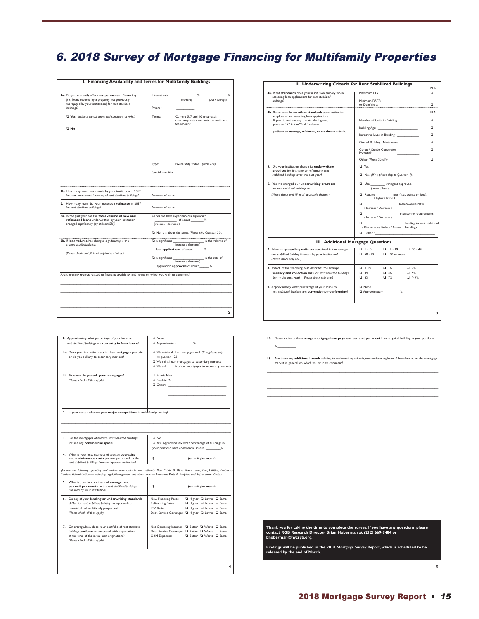## 6. 2018 Survey of Mortgage Financing for Multifamily Properties

| I. Financing Availability and Terms for Multifamily Buildings                                                                                                 |                       |                                                                                                                                                                                                                               |
|---------------------------------------------------------------------------------------------------------------------------------------------------------------|-----------------------|-------------------------------------------------------------------------------------------------------------------------------------------------------------------------------------------------------------------------------|
|                                                                                                                                                               |                       |                                                                                                                                                                                                                               |
| Ia. Do you currently offer new permanent financing<br>(i.e., loans secured by a property not previously<br>mortgaged by your institution) for rent stabilized | Interest rate:        | %<br>%<br>(current)<br>(2017 average)                                                                                                                                                                                         |
| buildings?                                                                                                                                                    | Points:               |                                                                                                                                                                                                                               |
| $\Box$ Yes (Indicate typical terms and conditions at right.)<br>□ No                                                                                          | Terms:                | Current 5, 7 and 10 yr spreads<br>over swap rates and note commitment<br>fee amount:                                                                                                                                          |
|                                                                                                                                                               |                       |                                                                                                                                                                                                                               |
|                                                                                                                                                               | Type:                 | Fixed / Adjustable (circle one)                                                                                                                                                                                               |
|                                                                                                                                                               |                       | Special conditions: The conditions of the conditions of the conditions of the conditions of the conditions of the conditions of the conditions of the conditions of the conditions of the conditions of the conditions of the |
| Ib. How many loans were made by your institution in 2017<br>for new permanent financing of rent stabilized buildings?                                         | Number of loans:      |                                                                                                                                                                                                                               |
| 2. How many loans did your institution refinance in 2017<br>for rent stabilized buildings?                                                                    | Number of loans:      |                                                                                                                                                                                                                               |
| 3a. In the past year, has the total volume of new and<br>refinanced loans underwritten by your institution<br>changed significantly (by at least 5%)?         | (increase / decrease) | Yes, we have experienced a significant<br>of about %.                                                                                                                                                                         |
|                                                                                                                                                               |                       | No, it is about the same. (Please skip Question 3b).                                                                                                                                                                          |
| 3b. If loan volume has changed significantly, is the<br>change attributable to:                                                                               | A significant         | in the volume of<br>(increase / decrease)<br>loan applications of about _____ %.                                                                                                                                              |
| (Please check and fill in all applicable choices.)                                                                                                            | A significant         | in the rate of<br>(increase / decrease)                                                                                                                                                                                       |
|                                                                                                                                                               |                       | application approvals of about ______ %.                                                                                                                                                                                      |
| Are there any trends related to financing availability and terms on which you wish to comment?                                                                |                       |                                                                                                                                                                                                                               |
|                                                                                                                                                               |                       |                                                                                                                                                                                                                               |
|                                                                                                                                                               |                       |                                                                                                                                                                                                                               |
|                                                                                                                                                               |                       |                                                                                                                                                                                                                               |
|                                                                                                                                                               |                       | 2                                                                                                                                                                                                                             |
|                                                                                                                                                               |                       |                                                                                                                                                                                                                               |

| 10. Approximately what percentage of your loans to<br>rent stabilized buildings are currently in foreclosure?                                                                                                                                                           | <b>Q</b> None<br>Approximately _________ %.                                                                                                                                             |  |  |  |  |  |
|-------------------------------------------------------------------------------------------------------------------------------------------------------------------------------------------------------------------------------------------------------------------------|-----------------------------------------------------------------------------------------------------------------------------------------------------------------------------------------|--|--|--|--|--|
| IIa. Does your institution retain the mortgages you offer<br>or do you sell any to secondary markets?                                                                                                                                                                   | We retain all the mortgages sold. (If so, please skip<br>to question 12.)<br>We sell all our mortgages to secondary markets.<br>We sell ___ % of our mortgages to secondary markets.    |  |  |  |  |  |
| IIb. To whom do you sell your mortgages?<br>(Please check all that apply)                                                                                                                                                                                               | <b>D</b> Fannie Mae<br><b>E</b> Freddie Mac<br>$\Box$ Other: $\Box$                                                                                                                     |  |  |  |  |  |
| 12. In your sector, who are your major competitors in multi-family lending?                                                                                                                                                                                             |                                                                                                                                                                                         |  |  |  |  |  |
|                                                                                                                                                                                                                                                                         |                                                                                                                                                                                         |  |  |  |  |  |
| 13. Do the mortgages offered to rent stabilized buildings<br>include any commercial space?                                                                                                                                                                              | □ No<br>Yes. Approximately what percentage of buildings in<br>your portfolio have commercial space? ________%                                                                           |  |  |  |  |  |
| 14. What is your best estimate of average operating<br>and maintenance costs per unit per month in the<br>rent stabilized buildings financed by your institution?                                                                                                       | per unit per month<br>s.                                                                                                                                                                |  |  |  |  |  |
| (Include the following operating and maintenance costs in your estimate: Real Estate & Other Taxes, Labor, Fuel, Utilities, Contractor<br>Services, Administration - including Legal, Management and other costs - Insurance, Parts & Supplies, and Replacement Costs.) |                                                                                                                                                                                         |  |  |  |  |  |
| 15. What is your best estimate of average rent<br>per unit per month in the rent stabilized buildings<br>financed by your institution?                                                                                                                                  | \$                                                                                                                                                                                      |  |  |  |  |  |
| 16. Do any of your lending or underwriting standards<br>differ for rent stabilized buildings as opposed to<br>non-stabilized multifamily properties?<br>(Please check all that apply)                                                                                   | New Financing Rates:<br>Higher L Lower L Same<br>Higher L Lower L Same<br>Refinancing Rates:<br>LTV Ratio:<br>□ Higher □ Lower □ Same<br>Debt Service Coverage: Q Higher Q Lower Q Same |  |  |  |  |  |
| 17. On average, how does your portfolio of rent stabilized<br>buildings perform as compared with expectations<br>at the time of the initial loan originations?<br>(Please check all that apply)                                                                         | Better Q Worse Q Same<br>Net Operating Income:<br>Debt Service Coverage: Q Better Q Worse Q Same<br>O&M Expenses:<br>G Better G Worse G Same                                            |  |  |  |  |  |
|                                                                                                                                                                                                                                                                         |                                                                                                                                                                                         |  |  |  |  |  |

|                                                                                                                             | II. Underwriting Criteria for Rent Stabilized Buildings<br>N.A.                                                                                                                                                                    |  |  |  |  |
|-----------------------------------------------------------------------------------------------------------------------------|------------------------------------------------------------------------------------------------------------------------------------------------------------------------------------------------------------------------------------|--|--|--|--|
| 4a. What standards does your institution employ when<br>assessing loan applications for rent stabilized                     | Maximum ITV:<br>n                                                                                                                                                                                                                  |  |  |  |  |
| buildings?                                                                                                                  | Minimum DSCR<br>or Debt Yield:<br>o                                                                                                                                                                                                |  |  |  |  |
| 4b. Please provide any other standards your institution                                                                     | N.A.                                                                                                                                                                                                                               |  |  |  |  |
| employs when assessing loan applications.<br>If you do not employ the standard given,<br>place an "X" in the "N.A." column. | Number of Units in Building:<br>n                                                                                                                                                                                                  |  |  |  |  |
| (Indicate an average, minimum, or maximum criteria.)                                                                        | Building Age: The Contract of the Contract of the Contract of the Contract of the Contract of the Contract of the Contract of the Contract of the Contract of the Contract of the Contract of the Contract of the Contract of<br>n |  |  |  |  |
|                                                                                                                             | Borrower Lives in Building:<br>n                                                                                                                                                                                                   |  |  |  |  |
|                                                                                                                             | Overall Building Maintenance:<br>n                                                                                                                                                                                                 |  |  |  |  |
|                                                                                                                             | Co-op / Condo Conversion<br>n<br>Potential:                                                                                                                                                                                        |  |  |  |  |
|                                                                                                                             | ▫                                                                                                                                                                                                                                  |  |  |  |  |
| 5. Did your institution change its underwriting<br>practices for financing or refinancing rent                              | □ Yes                                                                                                                                                                                                                              |  |  |  |  |
| stabilized buildings over the past year?                                                                                    | No. (If no, please skip to Question 7).                                                                                                                                                                                            |  |  |  |  |
| 6. Yes, we changed our underwriting practices<br>for rent stabilized buildings to:                                          | Use ____________ stringent approvals.<br>(more / less)                                                                                                                                                                             |  |  |  |  |
| (Please check and fill in all applicable choices.)                                                                          | Require<br>fees (i.e., points or fees).<br>(higher / lower)                                                                                                                                                                        |  |  |  |  |
|                                                                                                                             | ▫<br>loan-to-value ratio.<br>(Increase / Decrease)                                                                                                                                                                                 |  |  |  |  |
|                                                                                                                             | o.<br>_ monitoring requirements.<br>(Increase / Decrease)                                                                                                                                                                          |  |  |  |  |
|                                                                                                                             | lending to rent stabilized<br>o.<br>(Discontinue / Reduce / Expand ) buildings.<br>$\Box$ Other:                                                                                                                                   |  |  |  |  |
|                                                                                                                             | III. Additional Mortgage Questions                                                                                                                                                                                                 |  |  |  |  |
| 7. How many dwelling units are contained in the average                                                                     | $120 - 49$<br>$-1.10$<br>$\Box$ $  . 9$                                                                                                                                                                                            |  |  |  |  |
| rent stabilized building financed by your institution?<br>(Please check only one.)                                          | $-50 - 99$<br>$\Box$ 100 or more                                                                                                                                                                                                   |  |  |  |  |
| 8. Which of the following best describes the average                                                                        | $\Box$ < $1\%$<br>$-1\%$<br>□ 2%                                                                                                                                                                                                   |  |  |  |  |
| vacancy and collection loss for rent stabilized buildings<br>during the past year? (Please check only one.)                 | □ 3%<br>$-4%$<br>$\Box$ 5%<br>□ 6%<br>$-7\%$<br>$\Box$ > 7%                                                                                                                                                                        |  |  |  |  |
|                                                                                                                             |                                                                                                                                                                                                                                    |  |  |  |  |
| 9. Approximately what percentage of your loans to<br>rent stabilized buildings are currently non-performing?                | <b>Q</b> None<br>Approximately ________ %.                                                                                                                                                                                         |  |  |  |  |
|                                                                                                                             |                                                                                                                                                                                                                                    |  |  |  |  |
|                                                                                                                             | 3                                                                                                                                                                                                                                  |  |  |  |  |
|                                                                                                                             |                                                                                                                                                                                                                                    |  |  |  |  |

| 18. Please estimate the average mortgage loan payment per unit per month for a typical building in your portfolio:<br>\$                                                              |   |
|---------------------------------------------------------------------------------------------------------------------------------------------------------------------------------------|---|
| 19. Are there any additional trends relating to underwriting criteria, non-performing loans & foreclosure, or the mortgage<br>market in general on which you wish to comment?         |   |
|                                                                                                                                                                                       |   |
|                                                                                                                                                                                       |   |
|                                                                                                                                                                                       |   |
|                                                                                                                                                                                       |   |
|                                                                                                                                                                                       |   |
|                                                                                                                                                                                       |   |
|                                                                                                                                                                                       |   |
|                                                                                                                                                                                       |   |
| Thank you for taking the time to complete the survey. If you have any questions, please<br>contact RGB Research Director Brian Hoberman at (212) 669-7484 or<br>bhoberman@nycrgb.org. |   |
| Findings will be published in the 2018 Mortgage Survey Report, which is scheduled to be<br>released by the end of March.                                                              |   |
|                                                                                                                                                                                       | 5 |